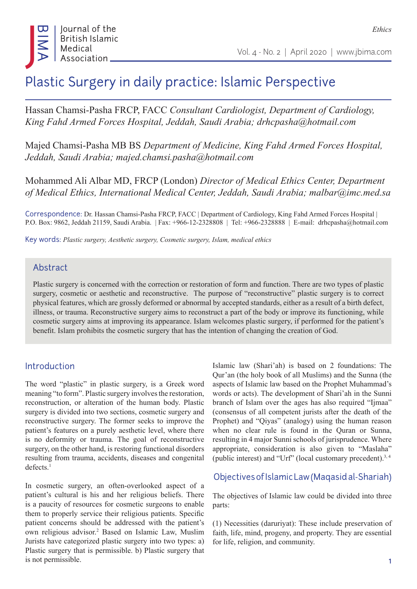*Ethics*

# Plastic Surgery in daily practice: Islamic Perspective

Hassan Chamsi-Pasha FRCP, FACC *Consultant Cardiologist, Department of Cardiology, King Fahd Armed Forces Hospital, Jeddah, Saudi Arabia; drhcpasha@hotmail.com*

Majed Chamsi-Pasha MB BS *Department of Medicine, King Fahd Armed Forces Hospital, Jeddah, Saudi Arabia; majed.chamsi.pasha@hotmail.com*

Mohammed Ali Albar MD, FRCP (London) *Director of Medical Ethics Center, Department of Medical Ethics, International Medical Center, Jeddah, Saudi Arabia; malbar@imc.med.sa*

Correspondence: Dr. Hassan Chamsi-Pasha FRCP, FACC | Department of Cardiology, King Fahd Armed Forces Hospital | P.O. Box: 9862, Jeddah 21159, Saudi Arabia. | Fax: +966-12-2328808 | Tel: +966-2328888 | E-mail: drhcpasha@hotmail.com

Key words: *Plastic surgery, Aesthetic surgery, Cosmetic surgery, Islam, medical ethics*

#### Abstract

Plastic surgery is concerned with the correction or restoration of form and function. There are two types of plastic surgery, cosmetic or aesthetic and reconstructive. The purpose of "reconstructive" plastic surgery is to correct physical features, which are grossly deformed or abnormal by accepted standards, either as a result of a birth defect, illness, or trauma. Reconstructive surgery aims to reconstruct a part of the body or improve its functioning, while cosmetic surgery aims at improving its appearance. Islam welcomes plastic surgery, if performed for the patient's benefit. Islam prohibits the cosmetic surgery that has the intention of changing the creation of God.

#### Introduction

The word "plastic" in plastic surgery, is a Greek word meaning "to form". Plastic surgery involves the restoration, reconstruction, or alteration of the human body. Plastic surgery is divided into two sections, cosmetic surgery and reconstructive surgery. The former seeks to improve the patient's features on a purely aesthetic level, where there is no deformity or trauma. The goal of reconstructive surgery, on the other hand, is restoring functional disorders resulting from trauma, accidents, diseases and congenital defects.1

In cosmetic surgery, an often-overlooked aspect of a patient's cultural is his and her religious beliefs. There is a paucity of resources for cosmetic surgeons to enable them to properly service their religious patients. Specific patient concerns should be addressed with the patient's own religious advisor.<sup>2</sup> Based on Islamic Law, Muslim Jurists have categorized plastic surgery into two types: a) Plastic surgery that is permissible. b) Plastic surgery that is not permissible.

Islamic law (Shari'ah) is based on 2 foundations: The Qur'an (the holy book of all Muslims) and the Sunna (the aspects of Islamic law based on the Prophet Muhammad's words or acts). The development of Shari'ah in the Sunni branch of Islam over the ages has also required "Ijmaa" (consensus of all competent jurists after the death of the Prophet) and "Qiyas" (analogy) using the human reason when no clear rule is found in the Quran or Sunna, resulting in 4 major Sunni schools of jurisprudence. Where appropriate, consideration is also given to "Maslaha" (public interest) and "Urf" (local customary precedent).3, 4

Objectives of Islamic Law (Maqasid al-Shariah)

The objectives of Islamic law could be divided into three parts:

(1) Necessities (daruriyat): These include preservation of faith, life, mind, progeny, and property. They are essential for life, religion, and community.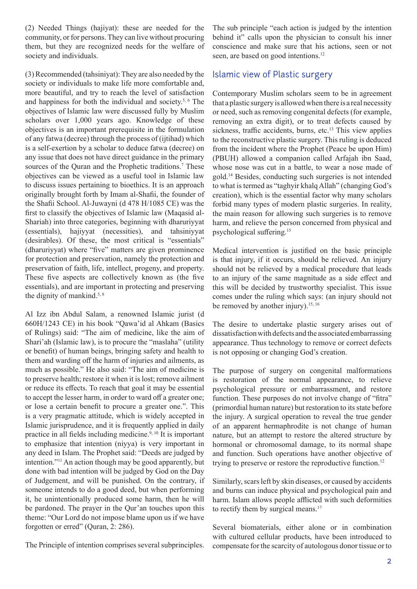(2) Needed Things (hajiyat): these are needed for the community, or for persons. They can live without procuring them, but they are recognized needs for the welfare of society and individuals.

(3) Recommended (tahsiniyat): They are also needed by the society or individuals to make life more comfortable and, more beautiful, and try to reach the level of satisfaction and happiness for both the individual and society.5, 6 The objectives of Islamic law were discussed fully by Muslim scholars over 1,000 years ago. Knowledge of these objectives is an important prerequisite in the formulation of any fatwa (decree) through the process of (ijtihad) which is a self-exertion by a scholar to deduce fatwa (decree) on any issue that does not have direct guidance in the primary sources of the Quran and the Prophetic traditions.<sup>7</sup> These objectives can be viewed as a useful tool in Islamic law to discuss issues pertaining to bioethics. It is an approach originally brought forth by Imam al-Shafii, the founder of the Shafii School. Al-Juwayni (d 478 H/1085 CE) was the first to classify the objectives of Islamic law (Maqasid al-Shariah) into three categories, beginning with dharuriyyat (essentials), hajiyyat (necessities), and tahsiniyyat (desirables). Of these, the most critical is "essentials" (dharuriyyat) where "five" matters are given prominence for protection and preservation, namely the protection and preservation of faith, life, intellect, progeny, and property. These five aspects are collectively known as (the five essentials), and are important in protecting and preserving the dignity of mankind. $5, 8$ 

Al Izz ibn Abdul Salam, a renowned Islamic jurist (d 660H/1243 CE) in his book "Qawa'id al Ahkam (Basics of Rulings) said: "The aim of medicine, like the aim of Shari'ah (Islamic law), is to procure the "maslaha" (utility or benefit) of human beings, bringing safety and health to them and warding off the harm of injuries and ailments, as much as possible." He also said: "The aim of medicine is to preserve health; restore it when it is lost; remove ailment or reduce its effects. To reach that goal it may be essential to accept the lesser harm, in order to ward off a greater one; or lose a certain benefit to procure a greater one.". This is a very pragmatic attitude, which is widely accepted in Islamic jurisprudence, and it is frequently applied in daily practice in all fields including medicine.9, 10 It is important to emphasize that intention (niyya) is very important in any deed in Islam. The Prophet said: "Deeds are judged by intention."11 An action though may be good apparently, but done with bad intention will be judged by God on the Day of Judgement, and will be punished. On the contrary, if someone intends to do a good deed, but when performing it, he unintentionally produced some harm, then he will be pardoned. The prayer in the Qur'an touches upon this theme: "Our Lord do not impose blame upon us if we have forgotten or erred" (Quran, 2: 286).

The Principle of intention comprises several subprinciples.

The sub principle "each action is judged by the intention behind it" calls upon the physician to consult his inner conscience and make sure that his actions, seen or not seen, are based on good intentions.<sup>12</sup>

#### Islamic view of Plastic surgery

Contemporary Muslim scholars seem to be in agreement that a plastic surgery is allowed when there is a real necessity or need, such as removing congenital defects (for example, removing an extra digit), or to treat defects caused by sickness, traffic accidents, burns, etc.<sup>13</sup> This view applies to the reconstructive plastic surgery. This ruling is deduced from the incident where the Prophet (Peace be upon Him) (PBUH) allowed a companion called Arfajah ibn Saad, whose nose was cut in a battle, to wear a nose made of gold.14 Besides, conducting such surgeries is not intended to what is termed as "taghyir khalq Allah" (changing God's creation), which is the essential factor why many scholars forbid many types of modern plastic surgeries. In reality, the main reason for allowing such surgeries is to remove harm, and relieve the person concerned from physical and psychological suffering.<sup>15</sup>

Medical intervention is justified on the basic principle is that injury, if it occurs, should be relieved. An injury should not be relieved by a medical procedure that leads to an injury of the same magnitude as a side effect and this will be decided by trustworthy specialist. This issue comes under the ruling which says: (an injury should not be removed by another injury).<sup>15, 16</sup>

The desire to undertake plastic surgery arises out of dissatisfaction with defects and the associated embarrassing appearance. Thus technology to remove or correct defects is not opposing or changing God's creation.

The purpose of surgery on congenital malformations is restoration of the normal appearance, to relieve psychological pressure or embarrassment, and restore function. These purposes do not involve change of "fitra" (primordial human nature) but restoration to its state before the injury. A surgical operation to reveal the true gender of an apparent hermaphrodite is not change of human nature, but an attempt to restore the altered structure by hormonal or chromosomal damage, to its normal shape and function. Such operations have another objective of trying to preserve or restore the reproductive function.<sup>12</sup>

Similarly, scars left by skin diseases, or caused by accidents and burns can induce physical and psychological pain and harm. Islam allows people afflicted with such deformities to rectify them by surgical means.<sup>17</sup>

Several biomaterials, either alone or in combination with cultured cellular products, have been introduced to compensate for the scarcity of autologous donor tissue or to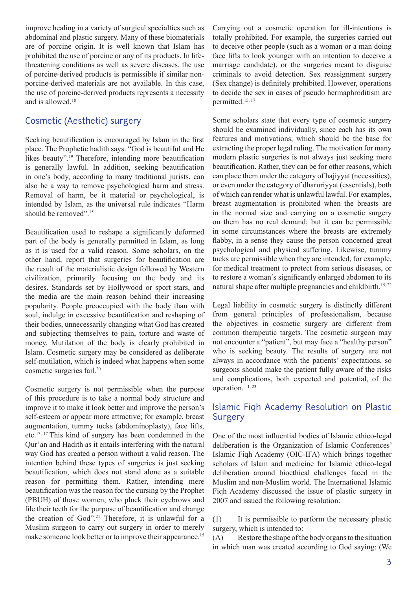improve healing in a variety of surgical specialties such as abdominal and plastic surgery. Many of these biomaterials are of porcine origin. It is well known that Islam has prohibited the use of porcine or any of its products. In lifethreatening conditions as well as severe diseases, the use of porcine-derived products is permissible if similar nonporcine-derived materials are not available. In this case, the use of porcine-derived products represents a necessity and is allowed.18

## Cosmetic (Aesthetic) surgery

Seeking beautification is encouraged by Islam in the first place. The Prophetic hadith says: "God is beautiful and He likes beauty".<sup>19</sup> Therefore, intending more beautification is generally lawful. In addition, seeking beautification in one's body, according to many traditional jurists, can also be a way to remove psychological harm and stress. Removal of harm, be it material or psychological, is intended by Islam, as the universal rule indicates "Harm should be removed".<sup>15</sup>

Beautification used to reshape a significantly deformed part of the body is generally permitted in Islam, as long as it is used for a valid reason. Some scholars, on the other hand, report that surgeries for beautification are the result of the materialistic design followed by Western civilization, primarily focusing on the body and its desires. Standards set by Hollywood or sport stars, and the media are the main reason behind their increasing popularity. People preoccupied with the body than with soul, indulge in excessive beautification and reshaping of their bodies, unnecessarily changing what God has created and subjecting themselves to pain, torture and waste of money. Mutilation of the body is clearly prohibited in Islam. Cosmetic surgery may be considered as deliberate self-mutilation, which is indeed what happens when some cosmetic surgeries fail.20

Cosmetic surgery is not permissible when the purpose of this procedure is to take a normal body structure and improve it to make it look better and improve the person's self-esteem or appear more attractive; for example, breast augmentation, tummy tucks (abdominoplasty), face lifts, etc.13, 17 This kind of surgery has been condemned in the Qur'an and Hadith as it entails interfering with the natural way God has created a person without a valid reason. The intention behind these types of surgeries is just seeking beautification, which does not stand alone as a suitable reason for permitting them. Rather, intending mere beautification was the reason for the cursing by the Prophet (PBUH) of those women, who pluck their eyebrows and file their teeth for the purpose of beautification and change the creation of  $God^{\cdot \cdot \cdot 21}$  Therefore, it is unlawful for a Muslim surgeon to carry out surgery in order to merely make someone look better or to improve their appearance.<sup>15</sup>

Carrying out a cosmetic operation for ill-intentions is totally prohibited. For example, the surgeries carried out to deceive other people (such as a woman or a man doing face lifts to look younger with an intention to deceive a marriage candidate), or the surgeries meant to disguise criminals to avoid detection. Sex reassignment surgery (Sex change) is definitely prohibited. However, operations to decide the sex in cases of pseudo hermaphroditism are permitted.15, 17

Some scholars state that every type of cosmetic surgery should be examined individually, since each has its own features and motivations, which should be the base for extracting the proper legal ruling. The motivation for many modern plastic surgeries is not always just seeking mere beautification. Rather, they can be for other reasons, which can place them under the category of hajiyyat (necessities), or even under the category of dharuriyyat (essentials), both of which can render what is unlawful lawful. For examples, breast augmentation is prohibited when the breasts are in the normal size and carrying on a cosmetic surgery on them has no real demand; but it can be permissible in some circumstances where the breasts are extremely flabby, in a sense they cause the person concerned great psychological and physical suffering. Likewise, tummy tucks are permissible when they are intended, for example, for medical treatment to protect from serious diseases, or to restore a woman's significantly enlarged abdomen to its natural shape after multiple pregnancies and childbirth.<sup>15,22</sup>

Legal liability in cosmetic surgery is distinctly different from general principles of professionalism, because the objectives in cosmetic surgery are different from common therapeutic targets. The cosmetic surgeon may not encounter a "patient", but may face a "healthy person" who is seeking beauty. The results of surgery are not always in accordance with the patients' expectations, so surgeons should make the patient fully aware of the risks and complications, both expected and potential, of the operation. <sup>1, 23</sup>

## Islamic Fiqh Academy Resolution on Plastic **Surgery**

One of the most influential bodies of Islamic ethico-legal deliberation is the Organization of Islamic Conferences' Islamic Fiqh Academy (OIC-IFA) which brings together scholars of Islam and medicine for Islamic ethico-legal deliberation around bioethical challenges faced in the Muslim and non-Muslim world. The International Islamic Fiqh Academy discussed the issue of plastic surgery in 2007 and issued the following resolution:

(1) It is permissible to perform the necessary plastic surgery, which is intended to:

(A) Restore the shape of the body organs to the situation in which man was created according to God saying: (We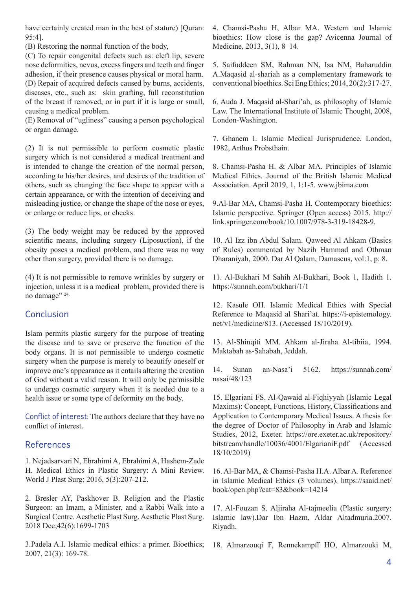have certainly created man in the best of stature) [Ouran: 95:4].

(B) Restoring the normal function of the body,

(C) To repair congenital defects such as: cleft lip, severe nose deformities, nevus, excess fingers and teeth and finger adhesion, if their presence causes physical or moral harm. (D) Repair of acquired defects caused by burns, accidents, diseases, etc., such as: skin grafting, full reconstitution of the breast if removed, or in part if it is large or small, causing a medical problem.

(E) Removal of "ugliness" causing a person psychological or organ damage.

(2) It is not permissible to perform cosmetic plastic surgery which is not considered a medical treatment and is intended to change the creation of the normal person, according to his/her desires, and desires of the tradition of others, such as changing the face shape to appear with a certain appearance, or with the intention of deceiving and misleading justice, or change the shape of the nose or eyes, or enlarge or reduce lips, or cheeks.

(3) The body weight may be reduced by the approved scientific means, including surgery (Liposuction), if the obesity poses a medical problem, and there was no way other than surgery, provided there is no damage.

(4) It is not permissible to remove wrinkles by surgery or injection, unless it is a medical problem, provided there is no damage" 24.

## Conclusion

Islam permits plastic surgery for the purpose of treating the disease and to save or preserve the function of the body organs. It is not permissible to undergo cosmetic surgery when the purpose is merely to beautify oneself or improve one's appearance as it entails altering the creation of God without a valid reason. It will only be permissible to undergo cosmetic surgery when it is needed due to a health issue or some type of deformity on the body.

Conflict of interest: The authors declare that they have no conflict of interest.

## References

1. Nejadsarvari N, Ebrahimi A, Ebrahimi A, Hashem-Zade H. Medical Ethics in Plastic Surgery: A Mini Review. World J Plast Surg; 2016, 5(3):207-212.

2. Bresler AY, Paskhover B. Religion and the Plastic Surgeon: an Imam, a Minister, and a Rabbi Walk into a Surgical Centre. Aesthetic Plast Surg. Aesthetic Plast Surg. 2018 Dec;42(6):1699-1703

3.Padela A.I. Islamic medical ethics: a primer. Bioethics; 2007, 21(3): 169-78.

4. Chamsi-Pasha H, Albar MA. Western and Islamic bioethics: How close is the gap? Avicenna Journal of Medicine, 2013, 3(1), 8–14.

5. Saifuddeen SM, Rahman NN, Isa NM, Baharuddin A.Maqasid al-shariah as a complementary framework to conventional bioethics. Sci Eng Ethics; 2014, 20(2):317-27.

6. Auda J. Maqasid al-Shari'ah, as philosophy of Islamic Law. The International Institute of Islamic Thought, 2008, London-Washington.

7. Ghanem I. Islamic Medical Jurisprudence. London, 1982, Arthus Probsthain.

8. Chamsi-Pasha H. & Albar MA. Principles of Islamic Medical Ethics. Journal of the British Islamic Medical Association. April 2019, 1, 1:1-5. www.jbima.com

9.Al-Bar MA, Chamsi-Pasha H. Contemporary bioethics: Islamic perspective. Springer (Open access) 2015. http:// link.springer.com/book/10.1007/978-3-319-18428-9.

10. Al Izz ibn Abdul Salam. Qaweed Al Ahkam (Basics of Rules) commented by Nazih Hammad and Othman Dharaniyah, 2000. Dar Al Qalam, Damascus, vol:1, p: 8.

11. Al-Bukhari M Sahih Al-Bukhari, Book 1, Hadith 1. https://sunnah.com/bukhari/1/1

12. Kasule OH. Islamic Medical Ethics with Special Reference to Maqasid al Shari'at. https://i-epistemology. net/v1/medicine/813. (Accessed 18/10/2019).

13. Al-Shinqiti MM. Ahkam al-Jiraha Al-tibiia, 1994. Maktabah as-Sahabah, Jeddah.

14. Sunan an-Nasa'i 5162. https://sunnah.com/ nasai/48/123

15. Elgariani FS. Al-Qawaid al-Fiqhiyyah (Islamic Legal Maxims): Concept, Functions, History, Classifications and Application to Contemporary Medical Issues. A thesis for the degree of Doctor of Philosophy in Arab and Islamic Studies, 2012, Exeter. https://ore.exeter.ac.uk/repository/ bitstream/handle/10036/4001/ElgarianiF.pdf (Accessed 18/10/2019)

16. Al-Bar MA, & Chamsi-Pasha H.A. Albar A. Reference in Islamic Medical Ethics (3 volumes). https://saaid.net/ book/open.php?cat=83&book=14214

17. Al-Fouzan S. Aljiraha Al-tajmeelia (Plastic surgery: Islamic law).Dar Ibn Hazm, Aldar Altadmuria.2007. Riyadh.

18. Almarzouqi F, Rennekampff HO, Almarzouki M,